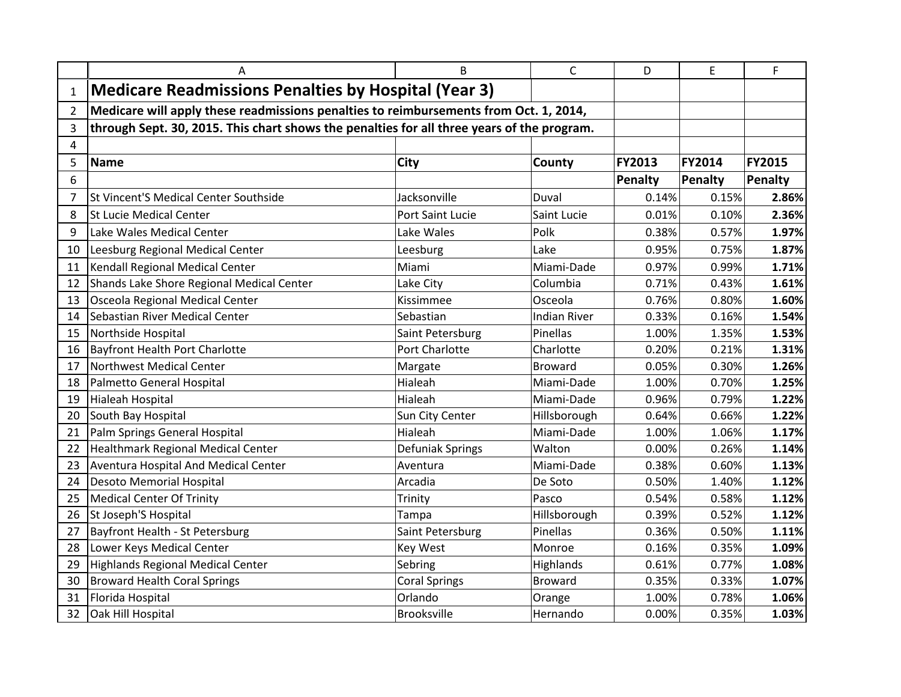|                | A                                                                                          | B                    | $\mathsf{C}$        | D       | E       | F             |
|----------------|--------------------------------------------------------------------------------------------|----------------------|---------------------|---------|---------|---------------|
| 1              | <b>Medicare Readmissions Penalties by Hospital (Year 3)</b>                                |                      |                     |         |         |               |
| $\overline{2}$ | Medicare will apply these readmissions penalties to reimbursements from Oct. 1, 2014,      |                      |                     |         |         |               |
| 3              | through Sept. 30, 2015. This chart shows the penalties for all three years of the program. |                      |                     |         |         |               |
| 4              |                                                                                            |                      |                     |         |         |               |
| 5              | <b>Name</b>                                                                                | City                 | <b>County</b>       | FY2013  | FY2014  | <b>FY2015</b> |
| 6              |                                                                                            |                      |                     | Penalty | Penalty | Penalty       |
| 7              | St Vincent'S Medical Center Southside                                                      | Jacksonville         | Duval               | 0.14%   | 0.15%   | 2.86%         |
| 8              | <b>St Lucie Medical Center</b>                                                             | Port Saint Lucie     | Saint Lucie         | 0.01%   | 0.10%   | 2.36%         |
| 9              | Lake Wales Medical Center                                                                  | Lake Wales           | Polk                | 0.38%   | 0.57%   | 1.97%         |
| 10             | Leesburg Regional Medical Center                                                           | Leesburg             | Lake                | 0.95%   | 0.75%   | 1.87%         |
| 11             | Kendall Regional Medical Center                                                            | Miami                | Miami-Dade          | 0.97%   | 0.99%   | 1.71%         |
| 12             | Shands Lake Shore Regional Medical Center                                                  | Lake City            | Columbia            | 0.71%   | 0.43%   | 1.61%         |
| 13             | Osceola Regional Medical Center                                                            | Kissimmee            | Osceola             | 0.76%   | 0.80%   | 1.60%         |
| 14             | Sebastian River Medical Center                                                             | Sebastian            | <b>Indian River</b> | 0.33%   | 0.16%   | 1.54%         |
| 15             | Northside Hospital                                                                         | Saint Petersburg     | Pinellas            | 1.00%   | 1.35%   | 1.53%         |
| 16             | <b>Bayfront Health Port Charlotte</b>                                                      | Port Charlotte       | Charlotte           | 0.20%   | 0.21%   | 1.31%         |
| 17             | Northwest Medical Center                                                                   | Margate              | Broward             | 0.05%   | 0.30%   | 1.26%         |
| 18             | Palmetto General Hospital                                                                  | Hialeah              | Miami-Dade          | 1.00%   | 0.70%   | 1.25%         |
| 19             | Hialeah Hospital                                                                           | Hialeah              | Miami-Dade          | 0.96%   | 0.79%   | 1.22%         |
| 20             | South Bay Hospital                                                                         | Sun City Center      | Hillsborough        | 0.64%   | 0.66%   | 1.22%         |
| 21             | Palm Springs General Hospital                                                              | Hialeah              | Miami-Dade          | 1.00%   | 1.06%   | 1.17%         |
| 22             | <b>Healthmark Regional Medical Center</b>                                                  | Defuniak Springs     | Walton              | 0.00%   | 0.26%   | 1.14%         |
| 23             | <b>Aventura Hospital And Medical Center</b>                                                | Aventura             | Miami-Dade          | 0.38%   | 0.60%   | 1.13%         |
| 24             | <b>Desoto Memorial Hospital</b>                                                            | Arcadia              | De Soto             | 0.50%   | 1.40%   | 1.12%         |
| 25             | <b>Medical Center Of Trinity</b>                                                           | Trinity              | Pasco               | 0.54%   | 0.58%   | 1.12%         |
| 26             | St Joseph'S Hospital                                                                       | Tampa                | Hillsborough        | 0.39%   | 0.52%   | 1.12%         |
| 27             | Bayfront Health - St Petersburg                                                            | Saint Petersburg     | Pinellas            | 0.36%   | 0.50%   | 1.11%         |
| 28             | Lower Keys Medical Center                                                                  | <b>Key West</b>      | Monroe              | 0.16%   | 0.35%   | 1.09%         |
| 29             | Highlands Regional Medical Center                                                          | Sebring              | Highlands           | 0.61%   | 0.77%   | 1.08%         |
| 30             | <b>Broward Health Coral Springs</b>                                                        | <b>Coral Springs</b> | <b>Broward</b>      | 0.35%   | 0.33%   | 1.07%         |
| 31             | Florida Hospital                                                                           | Orlando              | Orange              | 1.00%   | 0.78%   | 1.06%         |
| 32             | Oak Hill Hospital                                                                          | <b>Brooksville</b>   | Hernando            | 0.00%   | 0.35%   | 1.03%         |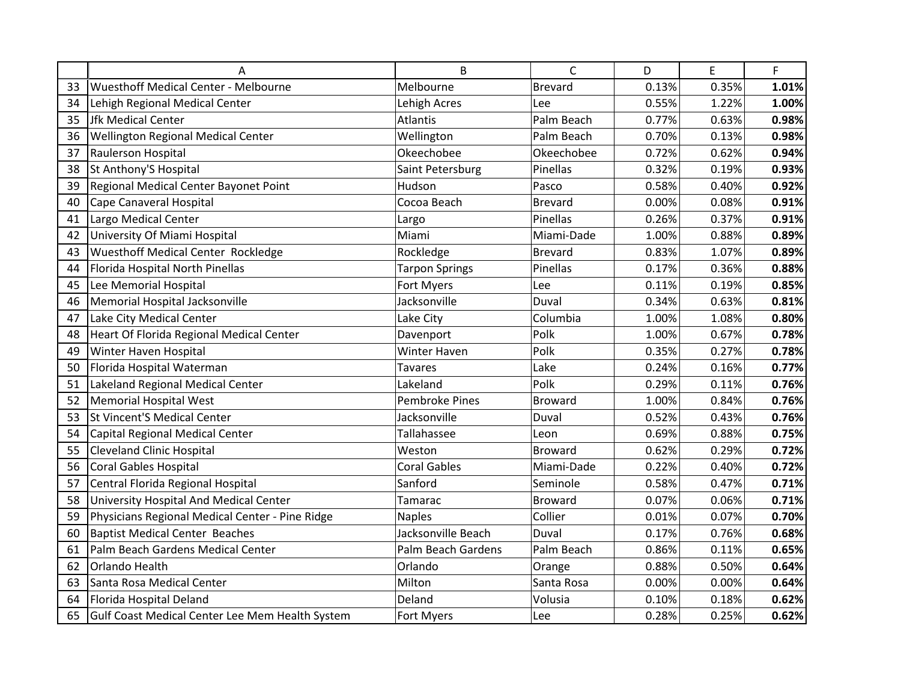|    | Α                                               | B                     | $\mathsf{C}$   | D     | E     | F     |
|----|-------------------------------------------------|-----------------------|----------------|-------|-------|-------|
| 33 | <b>Wuesthoff Medical Center - Melbourne</b>     | Melbourne             | <b>Brevard</b> | 0.13% | 0.35% | 1.01% |
| 34 | Lehigh Regional Medical Center                  | Lehigh Acres          | Lee            | 0.55% | 1.22% | 1.00% |
| 35 | Jfk Medical Center                              | Atlantis              | Palm Beach     | 0.77% | 0.63% | 0.98% |
| 36 | <b>Wellington Regional Medical Center</b>       | Wellington            | Palm Beach     | 0.70% | 0.13% | 0.98% |
| 37 | Raulerson Hospital                              | Okeechobee            | Okeechobee     | 0.72% | 0.62% | 0.94% |
| 38 | St Anthony'S Hospital                           | Saint Petersburg      | Pinellas       | 0.32% | 0.19% | 0.93% |
| 39 | Regional Medical Center Bayonet Point           | Hudson                | Pasco          | 0.58% | 0.40% | 0.92% |
| 40 | Cape Canaveral Hospital                         | Cocoa Beach           | Brevard        | 0.00% | 0.08% | 0.91% |
| 41 | Largo Medical Center                            | Largo                 | Pinellas       | 0.26% | 0.37% | 0.91% |
| 42 | University Of Miami Hospital                    | Miami                 | Miami-Dade     | 1.00% | 0.88% | 0.89% |
| 43 | <b>Wuesthoff Medical Center Rockledge</b>       | Rockledge             | <b>Brevard</b> | 0.83% | 1.07% | 0.89% |
| 44 | Florida Hospital North Pinellas                 | <b>Tarpon Springs</b> | Pinellas       | 0.17% | 0.36% | 0.88% |
| 45 | Lee Memorial Hospital                           | Fort Myers            | Lee            | 0.11% | 0.19% | 0.85% |
| 46 | Memorial Hospital Jacksonville                  | Jacksonville          | Duval          | 0.34% | 0.63% | 0.81% |
| 47 | Lake City Medical Center                        | Lake City             | Columbia       | 1.00% | 1.08% | 0.80% |
| 48 | Heart Of Florida Regional Medical Center        | Davenport             | Polk           | 1.00% | 0.67% | 0.78% |
| 49 | Winter Haven Hospital                           | Winter Haven          | Polk           | 0.35% | 0.27% | 0.78% |
| 50 | Florida Hospital Waterman                       | <b>Tavares</b>        | Lake           | 0.24% | 0.16% | 0.77% |
| 51 | Lakeland Regional Medical Center                | Lakeland              | Polk           | 0.29% | 0.11% | 0.76% |
| 52 | <b>Memorial Hospital West</b>                   | <b>Pembroke Pines</b> | <b>Broward</b> | 1.00% | 0.84% | 0.76% |
| 53 | <b>St Vincent'S Medical Center</b>              | Jacksonville          | Duval          | 0.52% | 0.43% | 0.76% |
| 54 | Capital Regional Medical Center                 | Tallahassee           | Leon           | 0.69% | 0.88% | 0.75% |
| 55 | <b>Cleveland Clinic Hospital</b>                | Weston                | <b>Broward</b> | 0.62% | 0.29% | 0.72% |
| 56 | <b>Coral Gables Hospital</b>                    | <b>Coral Gables</b>   | Miami-Dade     | 0.22% | 0.40% | 0.72% |
| 57 | Central Florida Regional Hospital               | Sanford               | Seminole       | 0.58% | 0.47% | 0.71% |
| 58 | University Hospital And Medical Center          | Tamarac               | <b>Broward</b> | 0.07% | 0.06% | 0.71% |
| 59 | Physicians Regional Medical Center - Pine Ridge | <b>Naples</b>         | Collier        | 0.01% | 0.07% | 0.70% |
| 60 | <b>Baptist Medical Center Beaches</b>           | Jacksonville Beach    | Duval          | 0.17% | 0.76% | 0.68% |
| 61 | Palm Beach Gardens Medical Center               | Palm Beach Gardens    | Palm Beach     | 0.86% | 0.11% | 0.65% |
| 62 | Orlando Health                                  | Orlando               | Orange         | 0.88% | 0.50% | 0.64% |
| 63 | Santa Rosa Medical Center                       | Milton                | Santa Rosa     | 0.00% | 0.00% | 0.64% |
| 64 | Florida Hospital Deland                         | Deland                | Volusia        | 0.10% | 0.18% | 0.62% |
| 65 | Gulf Coast Medical Center Lee Mem Health System | Fort Myers            | Lee            | 0.28% | 0.25% | 0.62% |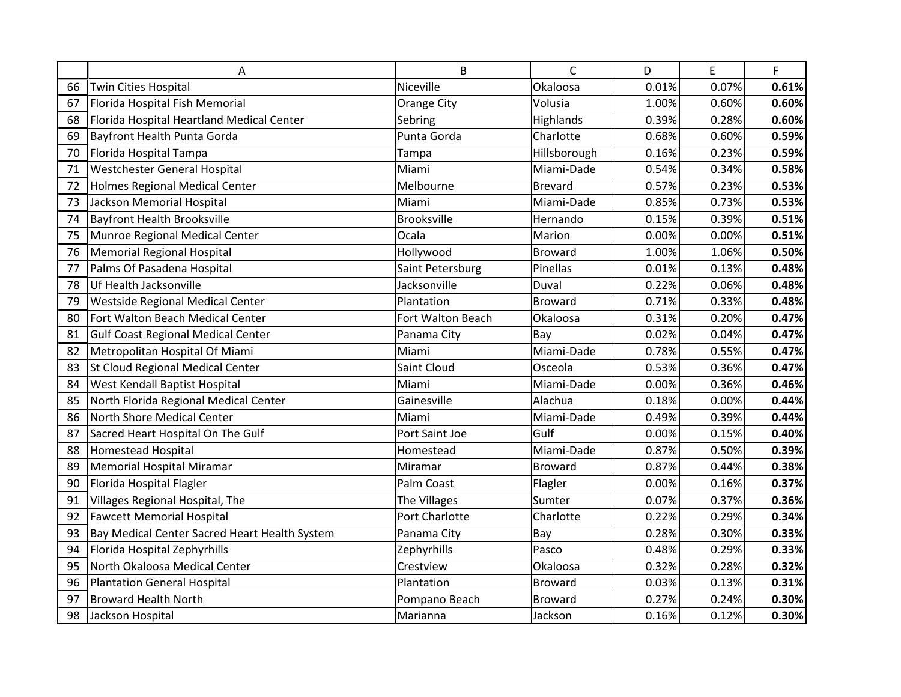|    | Α                                             | B                 | $\mathsf{C}$   | D     | E     | F     |
|----|-----------------------------------------------|-------------------|----------------|-------|-------|-------|
| 66 | Twin Cities Hospital                          | Niceville         | Okaloosa       | 0.01% | 0.07% | 0.61% |
| 67 | Florida Hospital Fish Memorial                | Orange City       | Volusia        | 1.00% | 0.60% | 0.60% |
| 68 | Florida Hospital Heartland Medical Center     | Sebring           | Highlands      | 0.39% | 0.28% | 0.60% |
| 69 | <b>Bayfront Health Punta Gorda</b>            | Punta Gorda       | Charlotte      | 0.68% | 0.60% | 0.59% |
| 70 | Florida Hospital Tampa                        | Tampa             | Hillsborough   | 0.16% | 0.23% | 0.59% |
| 71 | Westchester General Hospital                  | Miami             | Miami-Dade     | 0.54% | 0.34% | 0.58% |
| 72 | <b>Holmes Regional Medical Center</b>         | Melbourne         | <b>Brevard</b> | 0.57% | 0.23% | 0.53% |
| 73 | Jackson Memorial Hospital                     | Miami             | Miami-Dade     | 0.85% | 0.73% | 0.53% |
| 74 | <b>Bayfront Health Brooksville</b>            | Brooksville       | Hernando       | 0.15% | 0.39% | 0.51% |
| 75 | Munroe Regional Medical Center                | Ocala             | Marion         | 0.00% | 0.00% | 0.51% |
| 76 | <b>Memorial Regional Hospital</b>             | Hollywood         | <b>Broward</b> | 1.00% | 1.06% | 0.50% |
| 77 | Palms Of Pasadena Hospital                    | Saint Petersburg  | Pinellas       | 0.01% | 0.13% | 0.48% |
| 78 | Uf Health Jacksonville                        | Jacksonville      | Duval          | 0.22% | 0.06% | 0.48% |
| 79 | Westside Regional Medical Center              | Plantation        | <b>Broward</b> | 0.71% | 0.33% | 0.48% |
| 80 | Fort Walton Beach Medical Center              | Fort Walton Beach | Okaloosa       | 0.31% | 0.20% | 0.47% |
| 81 | <b>Gulf Coast Regional Medical Center</b>     | Panama City       | Bay            | 0.02% | 0.04% | 0.47% |
| 82 | Metropolitan Hospital Of Miami                | Miami             | Miami-Dade     | 0.78% | 0.55% | 0.47% |
| 83 | St Cloud Regional Medical Center              | Saint Cloud       | Osceola        | 0.53% | 0.36% | 0.47% |
| 84 | West Kendall Baptist Hospital                 | Miami             | Miami-Dade     | 0.00% | 0.36% | 0.46% |
| 85 | North Florida Regional Medical Center         | Gainesville       | Alachua        | 0.18% | 0.00% | 0.44% |
| 86 | North Shore Medical Center                    | Miami             | Miami-Dade     | 0.49% | 0.39% | 0.44% |
| 87 | Sacred Heart Hospital On The Gulf             | Port Saint Joe    | Gulf           | 0.00% | 0.15% | 0.40% |
| 88 | <b>Homestead Hospital</b>                     | Homestead         | Miami-Dade     | 0.87% | 0.50% | 0.39% |
| 89 | <b>Memorial Hospital Miramar</b>              | Miramar           | <b>Broward</b> | 0.87% | 0.44% | 0.38% |
| 90 | Florida Hospital Flagler                      | Palm Coast        | Flagler        | 0.00% | 0.16% | 0.37% |
| 91 | Villages Regional Hospital, The               | The Villages      | Sumter         | 0.07% | 0.37% | 0.36% |
| 92 | <b>Fawcett Memorial Hospital</b>              | Port Charlotte    | Charlotte      | 0.22% | 0.29% | 0.34% |
| 93 | Bay Medical Center Sacred Heart Health System | Panama City       | Bay            | 0.28% | 0.30% | 0.33% |
| 94 | Florida Hospital Zephyrhills                  | Zephyrhills       | Pasco          | 0.48% | 0.29% | 0.33% |
| 95 | North Okaloosa Medical Center                 | Crestview         | Okaloosa       | 0.32% | 0.28% | 0.32% |
| 96 | <b>Plantation General Hospital</b>            | Plantation        | Broward        | 0.03% | 0.13% | 0.31% |
| 97 | <b>Broward Health North</b>                   | Pompano Beach     | <b>Broward</b> | 0.27% | 0.24% | 0.30% |
| 98 | Jackson Hospital                              | Marianna          | Jackson        | 0.16% | 0.12% | 0.30% |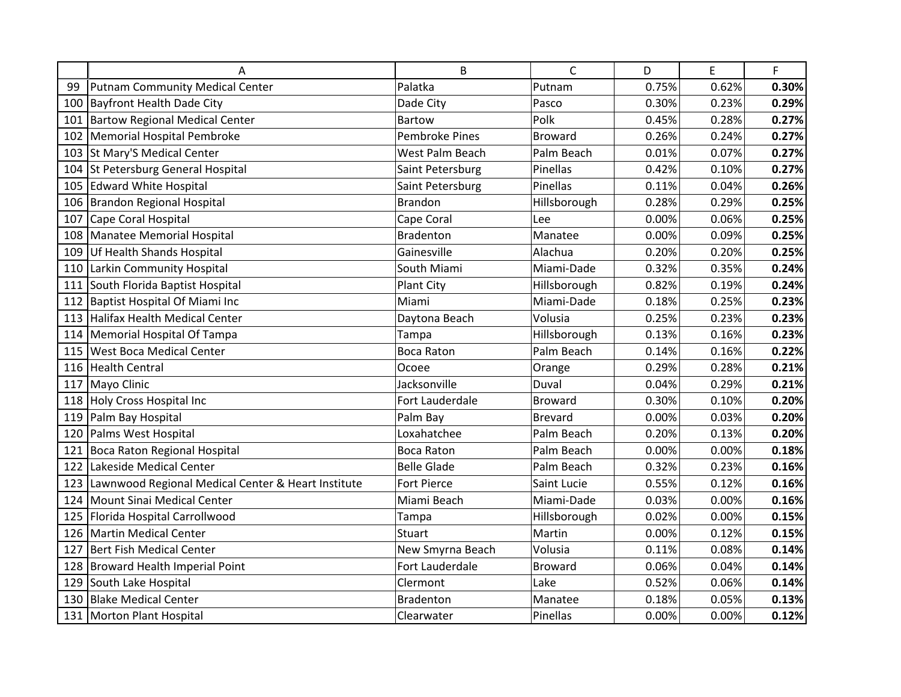|     | Α                                                  | B                     | $\mathsf{C}$   | D     | E     | F     |
|-----|----------------------------------------------------|-----------------------|----------------|-------|-------|-------|
| 99  | Putnam Community Medical Center                    | Palatka               | Putnam         | 0.75% | 0.62% | 0.30% |
| 100 | Bayfront Health Dade City                          | Dade City             | Pasco          | 0.30% | 0.23% | 0.29% |
|     | 101 Bartow Regional Medical Center                 | <b>Bartow</b>         | Polk           | 0.45% | 0.28% | 0.27% |
| 102 | Memorial Hospital Pembroke                         | <b>Pembroke Pines</b> | <b>Broward</b> | 0.26% | 0.24% | 0.27% |
| 103 | St Mary'S Medical Center                           | West Palm Beach       | Palm Beach     | 0.01% | 0.07% | 0.27% |
| 104 | St Petersburg General Hospital                     | Saint Petersburg      | Pinellas       | 0.42% | 0.10% | 0.27% |
|     | 105 Edward White Hospital                          | Saint Petersburg      | Pinellas       | 0.11% | 0.04% | 0.26% |
|     | 106 Brandon Regional Hospital                      | <b>Brandon</b>        | Hillsborough   | 0.28% | 0.29% | 0.25% |
| 107 | Cape Coral Hospital                                | Cape Coral            | Lee            | 0.00% | 0.06% | 0.25% |
|     | 108 Manatee Memorial Hospital                      | <b>Bradenton</b>      | Manatee        | 0.00% | 0.09% | 0.25% |
| 109 | Uf Health Shands Hospital                          | Gainesville           | Alachua        | 0.20% | 0.20% | 0.25% |
| 110 | Larkin Community Hospital                          | South Miami           | Miami-Dade     | 0.32% | 0.35% | 0.24% |
|     | 111 South Florida Baptist Hospital                 | <b>Plant City</b>     | Hillsborough   | 0.82% | 0.19% | 0.24% |
|     | 112 Baptist Hospital Of Miami Inc                  | Miami                 | Miami-Dade     | 0.18% | 0.25% | 0.23% |
| 113 | Halifax Health Medical Center                      | Daytona Beach         | Volusia        | 0.25% | 0.23% | 0.23% |
| 114 | Memorial Hospital Of Tampa                         | Tampa                 | Hillsborough   | 0.13% | 0.16% | 0.23% |
| 115 | <b>West Boca Medical Center</b>                    | <b>Boca Raton</b>     | Palm Beach     | 0.14% | 0.16% | 0.22% |
|     | 116 Health Central                                 | Ocoee                 | Orange         | 0.29% | 0.28% | 0.21% |
|     | 117 Mayo Clinic                                    | Jacksonville          | Duval          | 0.04% | 0.29% | 0.21% |
|     | 118 Holy Cross Hospital Inc                        | Fort Lauderdale       | <b>Broward</b> | 0.30% | 0.10% | 0.20% |
| 119 | Palm Bay Hospital                                  | Palm Bay              | <b>Brevard</b> | 0.00% | 0.03% | 0.20% |
| 120 | Palms West Hospital                                | Loxahatchee           | Palm Beach     | 0.20% | 0.13% | 0.20% |
|     | 121 Boca Raton Regional Hospital                   | <b>Boca Raton</b>     | Palm Beach     | 0.00% | 0.00% | 0.18% |
|     | 122 Lakeside Medical Center                        | <b>Belle Glade</b>    | Palm Beach     | 0.32% | 0.23% | 0.16% |
| 123 | Lawnwood Regional Medical Center & Heart Institute | Fort Pierce           | Saint Lucie    | 0.55% | 0.12% | 0.16% |
| 124 | Mount Sinai Medical Center                         | Miami Beach           | Miami-Dade     | 0.03% | 0.00% | 0.16% |
| 125 | Florida Hospital Carrollwood                       | Tampa                 | Hillsborough   | 0.02% | 0.00% | 0.15% |
|     | 126 Martin Medical Center                          | <b>Stuart</b>         | Martin         | 0.00% | 0.12% | 0.15% |
| 127 | Bert Fish Medical Center                           | New Smyrna Beach      | Volusia        | 0.11% | 0.08% | 0.14% |
| 128 | Broward Health Imperial Point                      | Fort Lauderdale       | <b>Broward</b> | 0.06% | 0.04% | 0.14% |
| 129 | South Lake Hospital                                | Clermont              | Lake           | 0.52% | 0.06% | 0.14% |
| 130 | <b>Blake Medical Center</b>                        | <b>Bradenton</b>      | Manatee        | 0.18% | 0.05% | 0.13% |
|     | 131 Morton Plant Hospital                          | Clearwater            | Pinellas       | 0.00% | 0.00% | 0.12% |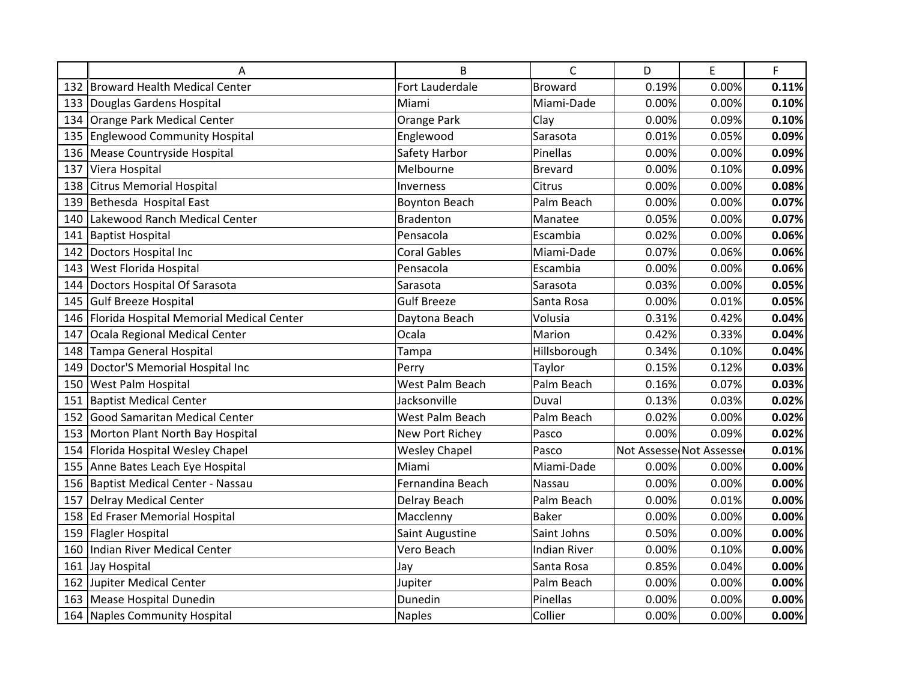|     | A                                            | B                    | $\mathsf{C}$        | D     | E                       | F     |
|-----|----------------------------------------------|----------------------|---------------------|-------|-------------------------|-------|
|     | 132 Broward Health Medical Center            | Fort Lauderdale      | <b>Broward</b>      | 0.19% | 0.00%                   | 0.11% |
|     | 133 Douglas Gardens Hospital                 | Miami                | Miami-Dade          | 0.00% | 0.00%                   | 0.10% |
| 134 | Orange Park Medical Center                   | Orange Park          | Clay                | 0.00% | 0.09%                   | 0.10% |
|     | 135 Englewood Community Hospital             | Englewood            | Sarasota            | 0.01% | 0.05%                   | 0.09% |
|     | 136 Mease Countryside Hospital               | Safety Harbor        | Pinellas            | 0.00% | 0.00%                   | 0.09% |
| 137 | Viera Hospital                               | Melbourne            | Brevard             | 0.00% | 0.10%                   | 0.09% |
|     | 138 Citrus Memorial Hospital                 | Inverness            | Citrus              | 0.00% | 0.00%                   | 0.08% |
| 139 | Bethesda Hospital East                       | <b>Boynton Beach</b> | Palm Beach          | 0.00% | 0.00%                   | 0.07% |
| 140 | Lakewood Ranch Medical Center                | <b>Bradenton</b>     | Manatee             | 0.05% | 0.00%                   | 0.07% |
| 141 | <b>Baptist Hospital</b>                      | Pensacola            | Escambia            | 0.02% | 0.00%                   | 0.06% |
|     | 142 Doctors Hospital Inc                     | <b>Coral Gables</b>  | Miami-Dade          | 0.07% | 0.06%                   | 0.06% |
|     | 143 West Florida Hospital                    | Pensacola            | Escambia            | 0.00% | 0.00%                   | 0.06% |
| 144 | Doctors Hospital Of Sarasota                 | Sarasota             | Sarasota            | 0.03% | 0.00%                   | 0.05% |
| 145 | Gulf Breeze Hospital                         | <b>Gulf Breeze</b>   | Santa Rosa          | 0.00% | 0.01%                   | 0.05% |
|     | 146 Florida Hospital Memorial Medical Center | Daytona Beach        | Volusia             | 0.31% | 0.42%                   | 0.04% |
| 147 | Ocala Regional Medical Center                | Ocala                | Marion              | 0.42% | 0.33%                   | 0.04% |
|     | 148 Tampa General Hospital                   | Tampa                | Hillsborough        | 0.34% | 0.10%                   | 0.04% |
| 149 | Doctor'S Memorial Hospital Inc               | Perry                | Taylor              | 0.15% | 0.12%                   | 0.03% |
|     | 150 West Palm Hospital                       | West Palm Beach      | Palm Beach          | 0.16% | 0.07%                   | 0.03% |
| 151 | <b>Baptist Medical Center</b>                | Jacksonville         | Duval               | 0.13% | 0.03%                   | 0.02% |
|     | 152 Good Samaritan Medical Center            | West Palm Beach      | Palm Beach          | 0.02% | 0.00%                   | 0.02% |
|     | 153 Morton Plant North Bay Hospital          | New Port Richey      | Pasco               | 0.00% | 0.09%                   | 0.02% |
|     | 154 Florida Hospital Wesley Chapel           | <b>Wesley Chapel</b> | Pasco               |       | Not Assesse Not Assesse | 0.01% |
|     | 155 Anne Bates Leach Eye Hospital            | Miami                | Miami-Dade          | 0.00% | 0.00%                   | 0.00% |
|     | 156 Baptist Medical Center - Nassau          | Fernandina Beach     | Nassau              | 0.00% | 0.00%                   | 0.00% |
| 157 | Delray Medical Center                        | Delray Beach         | Palm Beach          | 0.00% | 0.01%                   | 0.00% |
|     | 158 Ed Fraser Memorial Hospital              | Macclenny            | <b>Baker</b>        | 0.00% | 0.00%                   | 0.00% |
|     | 159 Flagler Hospital                         | Saint Augustine      | Saint Johns         | 0.50% | 0.00%                   | 0.00% |
| 160 | Indian River Medical Center                  | Vero Beach           | <b>Indian River</b> | 0.00% | 0.10%                   | 0.00% |
|     | 161 Jay Hospital                             | Jay                  | Santa Rosa          | 0.85% | 0.04%                   | 0.00% |
|     | 162 Jupiter Medical Center                   | Jupiter              | Palm Beach          | 0.00% | 0.00%                   | 0.00% |
|     | 163 Mease Hospital Dunedin                   | Dunedin              | Pinellas            | 0.00% | 0.00%                   | 0.00% |
|     | 164 Naples Community Hospital                | <b>Naples</b>        | Collier             | 0.00% | 0.00%                   | 0.00% |